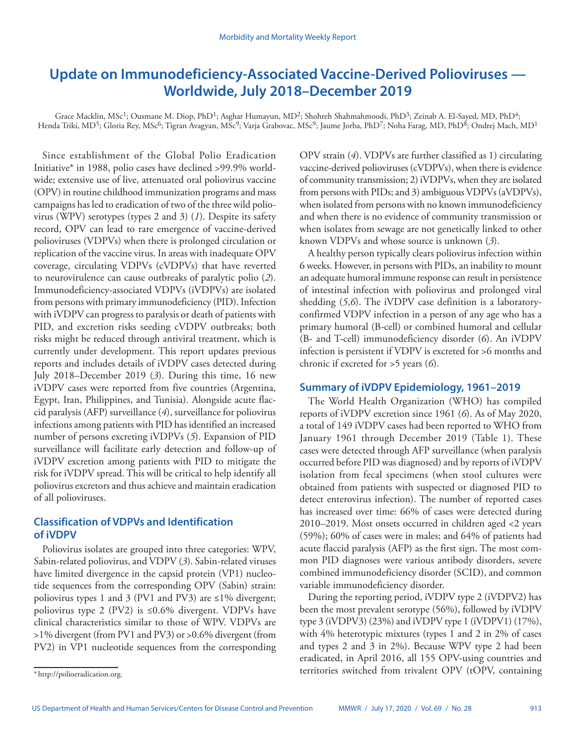# **Update on Immunodeficiency-Associated Vaccine-Derived Polioviruses — Worldwide, July 2018–December 2019**

Grace Macklin, MSc<sup>1</sup>; Ousmane M. Diop, PhD<sup>1</sup>; Asghar Humayun, MD<sup>2</sup>; Shohreh Shahmahmoodi, PhD<sup>3</sup>; Zeinab A. El-Sayed, MD, PhD<sup>4</sup>; Henda Triki, MD<sup>5</sup>; Gloria Rey, MSc<sup>6</sup>; Tigran Avagyan, MSc<sup>9</sup>; Varja Grabovac, MSc<sup>9</sup>; Jaume Jorba, PhD<sup>7</sup>; Noha Farag, MD, PhD<sup>8</sup>; Ondrej Mach, MD<sup>1</sup>

Since establishment of the Global Polio Eradication Initiative\* in 1988, polio cases have declined >99.9% worldwide; extensive use of live, attenuated oral poliovirus vaccine (OPV) in routine childhood immunization programs and mass campaigns has led to eradication of two of the three wild poliovirus (WPV) serotypes (types 2 and 3) (*1*). Despite its safety record, OPV can lead to rare emergence of vaccine-derived polioviruses (VDPVs) when there is prolonged circulation or replication of the vaccine virus. In areas with inadequate OPV coverage, circulating VDPVs (cVDPVs) that have reverted to neurovirulence can cause outbreaks of paralytic polio (*2*). Immunodeficiency-associated VDPVs (iVDPVs) are isolated from persons with primary immunodeficiency (PID). Infection with iVDPV can progress to paralysis or death of patients with PID, and excretion risks seeding cVDPV outbreaks; both risks might be reduced through antiviral treatment, which is currently under development. This report updates previous reports and includes details of iVDPV cases detected during July 2018–December 2019 (*3*). During this time, 16 new iVDPV cases were reported from five countries (Argentina, Egypt, Iran, Philippines, and Tunisia). Alongside acute flaccid paralysis (AFP) surveillance (*4*), surveillance for poliovirus infections among patients with PID has identified an increased number of persons excreting iVDPVs (*5*). Expansion of PID surveillance will facilitate early detection and follow-up of iVDPV excretion among patients with PID to mitigate the risk for iVDPV spread. This will be critical to help identify all poliovirus excretors and thus achieve and maintain eradication of all polioviruses.

# **Classification of VDPVs and Identification of iVDPV**

Poliovirus isolates are grouped into three categories: WPV, Sabin-related poliovirus, and VDPV (*3*). Sabin-related viruses have limited divergence in the capsid protein (VP1) nucleotide sequences from the corresponding OPV (Sabin) strain: poliovirus types 1 and 3 (PV1 and PV3) are  $\leq$ 1% divergent; poliovirus type 2 (PV2) is ≤0.6% divergent. VDPVs have clinical characteristics similar to those of WPV. VDPVs are >1% divergent (from PV1 and PV3) or >0.6% divergent (from PV2) in VP1 nucleotide sequences from the corresponding OPV strain (*4*). VDPVs are further classified as 1) circulating vaccine-derived polioviruses (cVDPVs), when there is evidence of community transmission; 2) iVDPVs, when they are isolated from persons with PIDs; and 3) ambiguous VDPVs (aVDPVs), when isolated from persons with no known immunodeficiency and when there is no evidence of community transmission or when isolates from sewage are not genetically linked to other known VDPVs and whose source is unknown (*3*).

A healthy person typically clears poliovirus infection within 6 weeks. However, in persons with PIDs, an inability to mount an adequate humoral immune response can result in persistence of intestinal infection with poliovirus and prolonged viral shedding (*5*,*6*). The iVDPV case definition is a laboratoryconfirmed VDPV infection in a person of any age who has a primary humoral (B-cell) or combined humoral and cellular (B- and T-cell) immunodeficiency disorder (*6*). An iVDPV infection is persistent if VDPV is excreted for >6 months and chronic if excreted for >5 years (*6*).

# **Summary of iVDPV Epidemiology, 1961–2019**

The World Health Organization (WHO) has compiled reports of iVDPV excretion since 1961 (*6*). As of May 2020, a total of 149 iVDPV cases had been reported to WHO from January 1961 through December 2019 (Table 1). These cases were detected through AFP surveillance (when paralysis occurred before PID was diagnosed) and by reports of iVDPV isolation from fecal specimens (when stool cultures were obtained from patients with suspected or diagnosed PID to detect enterovirus infection). The number of reported cases has increased over time: 66% of cases were detected during 2010–2019. Most onsets occurred in children aged <2 years (59%); 60% of cases were in males; and 64% of patients had acute flaccid paralysis (AFP) as the first sign. The most common PID diagnoses were various antibody disorders, severe combined immunodeficiency disorder (SCID), and common variable immunodeficiency disorder.

During the reporting period, iVDPV type 2 (iVDPV2) has been the most prevalent serotype (56%), followed by iVDPV type 3 (iVDPV3) (23%) and iVDPV type 1 (iVDPV1) (17%), with 4% heterotypic mixtures (types 1 and 2 in 2% of cases and types 2 and 3 in 2%). Because WPV type 2 had been eradicated, in April 2016, all 155 OPV-using countries and territories switched from trivalent OPV (tOPV, containing

<sup>\*</sup> http://polioeradication.org.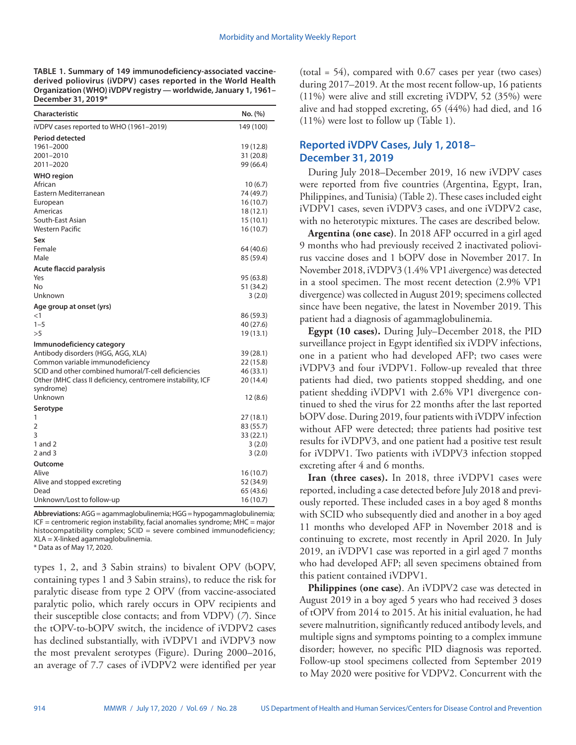**TABLE 1. Summary of 149 immunodeficiency-associated vaccinederived poliovirus (iVDPV) cases reported in the World Health Organization (WHO) iVDPV registry — worldwide, January 1, 1961– December 31, 2019\***

| Characteristic                                              | No. (%)                |
|-------------------------------------------------------------|------------------------|
| iVDPV cases reported to WHO (1961–2019)                     | 149 (100)              |
| <b>Period detected</b>                                      |                        |
| 1961-2000                                                   | 19 (12.8)              |
| 2001-2010                                                   | 31 (20.8)              |
| 2011–2020                                                   | 99 (66.4)              |
| <b>WHO</b> region                                           |                        |
| African                                                     | 10(6.7)                |
| Eastern Mediterranean                                       | 74 (49.7)              |
| European                                                    | 16 (10.7)              |
| Americas<br>South-East Asian                                | 18 (12.1)              |
| <b>Western Pacific</b>                                      | 15(10.1)               |
|                                                             | 16 (10.7)              |
| Sex<br>Female                                               |                        |
| Male                                                        | 64 (40.6)              |
|                                                             | 85 (59.4)              |
| Acute flaccid paralysis                                     |                        |
| Yes                                                         | 95 (63.8)              |
| No                                                          | 51 (34.2)              |
| Unknown                                                     | 3(2.0)                 |
| Age group at onset (yrs)                                    |                        |
| $<$ 1                                                       | 86 (59.3)              |
| $1 - 5$                                                     | 40 (27.6)              |
| >5                                                          | 19 (13.1)              |
| Immunodeficiency category                                   |                        |
| Antibody disorders (HGG, AGG, XLA)                          | 39 (28.1)              |
| Common variable immunodeficiency                            | 22 (15.8)              |
| SCID and other combined humoral/T-cell deficiencies         | 46 (33.1)              |
| Other (MHC class II deficiency, centromere instability, ICF | 20 (14.4)              |
| syndrome)<br>Unknown                                        | 12 (8.6)               |
|                                                             |                        |
| Serotype                                                    |                        |
| 1<br>2                                                      | 27 (18.1)              |
| 3                                                           | 83 (55.7)<br>33 (22.1) |
| 1 and $2$                                                   | 3(2.0)                 |
| 2 and 3                                                     | 3(2.0)                 |
|                                                             |                        |
| Outcome<br>Alive                                            | 16 (10.7)              |
| Alive and stopped excreting                                 | 52 (34.9)              |
| Dead                                                        | 65 (43.6)              |
| Unknown/Lost to follow-up                                   | 16 (10.7)              |
|                                                             |                        |

**Abbreviations:** AGG = agammaglobulinemia; HGG = hypogammaglobulinemia; ICF = centromeric region instability, facial anomalies syndrome; MHC = major histocompatibility complex; SCID = severe combined immunodeficiency; XLA = X-linked agammaglobulinemia.

\* Data as of May 17, 2020.

types 1, 2, and 3 Sabin strains) to bivalent OPV (bOPV, containing types 1 and 3 Sabin strains), to reduce the risk for paralytic disease from type 2 OPV (from vaccine-associated paralytic polio, which rarely occurs in OPV recipients and their susceptible close contacts; and from VDPV) (*7*). Since the tOPV-to-bOPV switch, the incidence of iVDPV2 cases has declined substantially, with iVDPV1 and iVDPV3 now the most prevalent serotypes (Figure). During 2000–2016, an average of 7.7 cases of iVDPV2 were identified per year (total = 54), compared with 0.67 cases per year (two cases) during 2017–2019. At the most recent follow-up, 16 patients (11%) were alive and still excreting iVDPV, 52 (35%) were alive and had stopped excreting, 65 (44%) had died, and 16 (11%) were lost to follow up (Table 1).

# **Reported iVDPV Cases, July 1, 2018– December 31, 2019**

During July 2018–December 2019, 16 new iVDPV cases were reported from five countries (Argentina, Egypt, Iran, Philippines, and Tunisia) (Table 2). These cases included eight iVDPV1 cases, seven iVDPV3 cases, and one iVDPV2 case, with no heterotypic mixtures. The cases are described below.

**Argentina (one case)**. In 2018 AFP occurred in a girl aged 9 months who had previously received 2 inactivated poliovirus vaccine doses and 1 bOPV dose in November 2017. In November 2018, iVDPV3 (1.4% VP1 divergence) was detected in a stool specimen. The most recent detection (2.9% VP1 divergence) was collected in August 2019; specimens collected since have been negative, the latest in November 2019. This patient had a diagnosis of agammaglobulinemia.

**Egypt (10 cases).** During July–December 2018, the PID surveillance project in Egypt identified six iVDPV infections, one in a patient who had developed AFP; two cases were iVDPV3 and four iVDPV1. Follow-up revealed that three patients had died, two patients stopped shedding, and one patient shedding iVDPV1 with 2.6% VP1 divergence continued to shed the virus for 22 months after the last reported bOPV dose. During 2019, four patients with iVDPV infection without AFP were detected; three patients had positive test results for iVDPV3, and one patient had a positive test result for iVDPV1. Two patients with iVDPV3 infection stopped excreting after 4 and 6 months.

**Iran (three cases).** In 2018, three iVDPV1 cases were reported, including a case detected before July 2018 and previously reported. These included cases in a boy aged 8 months with SCID who subsequently died and another in a boy aged 11 months who developed AFP in November 2018 and is continuing to excrete, most recently in April 2020. In July 2019, an iVDPV1 case was reported in a girl aged 7 months who had developed AFP; all seven specimens obtained from this patient contained iVDPV1.

**Philippines (one case)**. An iVDPV2 case was detected in August 2019 in a boy aged 5 years who had received 3 doses of tOPV from 2014 to 2015. At his initial evaluation, he had severe malnutrition, significantly reduced antibody levels, and multiple signs and symptoms pointing to a complex immune disorder; however, no specific PID diagnosis was reported. Follow-up stool specimens collected from September 2019 to May 2020 were positive for VDPV2. Concurrent with the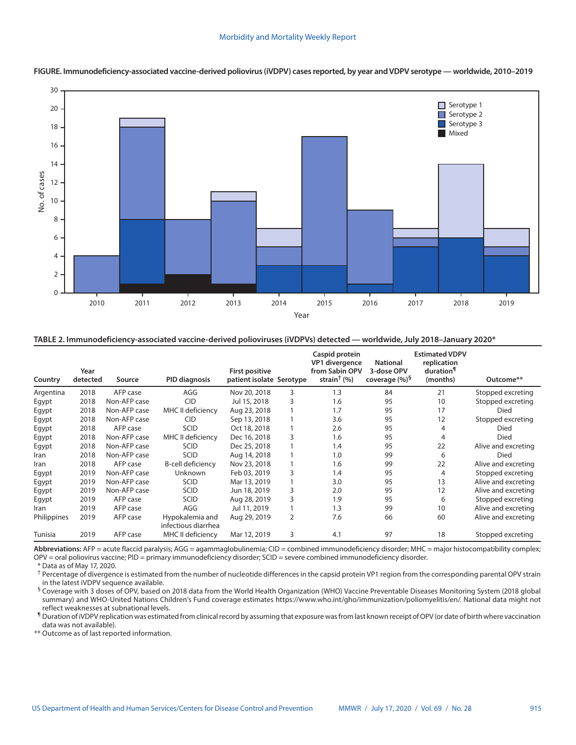

**FIGURE. Immunodeficiency-associated vaccine-derived poliovirus (iVDPV) cases reported, by year and VDPV serotype — worldwide, 2010–2019**

**TABLE 2. Immunodeficiency-associated vaccine-derived polioviruses (iVDPVs) detected — worldwide, July 2018–January 2020\***

| Country     | Year<br>detected | Source       | <b>PID diagnosis</b>                   | <b>First positive</b><br>patient isolate Serotype |   | Caspid protein<br>VP1 divergence<br>from Sabin OPV<br>strain <sup>†</sup> $(%)$ | <b>National</b><br>3-dose OPV<br>coverage $(\%)^5$ | <b>Estimated VDPV</b><br>replication<br>duration <sup>1</sup><br>(months) | Outcome**           |
|-------------|------------------|--------------|----------------------------------------|---------------------------------------------------|---|---------------------------------------------------------------------------------|----------------------------------------------------|---------------------------------------------------------------------------|---------------------|
| Argentina   | 2018             | AFP case     | AGG                                    | Nov 20, 2018                                      | 3 | 1.3                                                                             | 84                                                 | 21                                                                        | Stopped excreting   |
| Egypt       | 2018             | Non-AFP case | <b>CID</b>                             | Jul 15, 2018                                      | 3 | 1.6                                                                             | 95                                                 | 10                                                                        | Stopped excreting   |
| Egypt       | 2018             | Non-AFP case | MHC II deficiency                      | Aug 23, 2018                                      |   | 1.7                                                                             | 95                                                 | 17                                                                        | Died                |
| Egypt       | 2018             | Non-AFP case | <b>CID</b>                             | Sep 13, 2018                                      |   | 3.6                                                                             | 95                                                 | 12                                                                        | Stopped excreting   |
| Egypt       | 2018             | AFP case     | <b>SCID</b>                            | Oct 18, 2018                                      |   | 2.6                                                                             | 95                                                 | 4                                                                         | Died                |
| Egypt       | 2018             | Non-AFP case | MHC II deficiency                      | Dec 16, 2018                                      | 3 | 1.6                                                                             | 95                                                 | 4                                                                         | Died                |
| Egypt       | 2018             | Non-AFP case | <b>SCID</b>                            | Dec 25, 2018                                      |   | 1.4                                                                             | 95                                                 | 22                                                                        | Alive and excreting |
| Iran        | 2018             | Non-AFP case | <b>SCID</b>                            | Aug 14, 2018                                      |   | 1.0                                                                             | 99                                                 | 6                                                                         | Died                |
| Iran        | 2018             | AFP case     | B-cell deficiency                      | Nov 23, 2018                                      |   | 1.6                                                                             | 99                                                 | 22                                                                        | Alive and excreting |
| Egypt       | 2019             | Non-AFP case | <b>Unknown</b>                         | Feb 03, 2019                                      | 3 | 1.4                                                                             | 95                                                 | 4                                                                         | Stopped excreting   |
| Egypt       | 2019             | Non-AFP case | SCID                                   | Mar 13, 2019                                      |   | 3.0                                                                             | 95                                                 | 13                                                                        | Alive and excreting |
| Egypt       | 2019             | Non-AFP case | SCID                                   | Jun 18, 2019                                      | 3 | 2.0                                                                             | 95                                                 | 12                                                                        | Alive and excreting |
| Egypt       | 2019             | AFP case     | <b>SCID</b>                            | Aug 28, 2019                                      | 3 | 1.9                                                                             | 95                                                 | 6                                                                         | Stopped excreting   |
| Iran        | 2019             | AFP case     | AGG                                    | Jul 11, 2019                                      |   | 1.3                                                                             | 99                                                 | 10                                                                        | Alive and excreting |
| Philippines | 2019             | AFP case     | Hypokalemia and<br>infectious diarrhea | Aug 29, 2019                                      | 2 | 7.6                                                                             | 66                                                 | 60                                                                        | Alive and excreting |
| Tunisia     | 2019             | AFP case     | MHC II deficiency                      | Mar 12, 2019                                      | 3 | 4.1                                                                             | 97                                                 | 18                                                                        | Stopped excreting   |

Abbreviations: AFP = acute flaccid paralysis; AGG = agammaglobulinemia; CID = combined immunodeficiency disorder; MHC = major histocompatibility complex; OPV = oral poliovirus vaccine; PID = primary immunodeficiency disorder; SCID = severe combined immunodeficiency disorder.

\* Data as of May 17, 2020.

<sup>†</sup> Percentage of divergence is estimated from the number of nucleotide differences in the capsid protein VP1 region from the corresponding parental OPV strain in the latest iVDPV sequence available.

§ Coverage with 3 doses of OPV, based on 2018 data from the World Health Organization (WHO) Vaccine Preventable Diseases Monitoring System (2018 global summary) and WHO-United Nations Children's Fund coverage estimates https://www.who.int/gho/immunization/poliomyelitis/en/. National data might not reflect weaknesses at subnational levels.

¶ Duration of iVDPV replication was estimated from clinical record by assuming that exposure was from last known receipt of OPV (or date of birth where vaccination data was not available).

\*\* Outcome as of last reported information.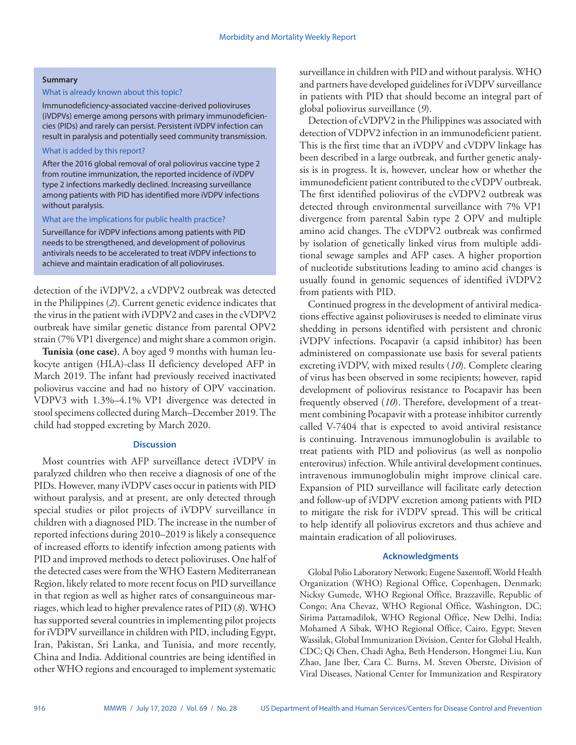#### **Summary**

## What is already known about this topic?

Immunodeficiency-associated vaccine-derived polioviruses (iVDPVs) emerge among persons with primary immunodeficiencies (PIDs) and rarely can persist. Persistent iVDPV infection can result in paralysis and potentially seed community transmission.

## What is added by this report?

After the 2016 global removal of oral poliovirus vaccine type 2 from routine immunization, the reported incidence of iVDPV type 2 infections markedly declined. Increasing surveillance among patients with PID has identified more iVDPV infections without paralysis.

#### What are the implications for public health practice?

Surveillance for iVDPV infections among patients with PID needs to be strengthened, and development of poliovirus antivirals needs to be accelerated to treat iVDPV infections to achieve and maintain eradication of all polioviruses.

detection of the iVDPV2, a cVDPV2 outbreak was detected in the Philippines (*2*). Current genetic evidence indicates that the virus in the patient with iVDPV2 and cases in the cVDPV2 outbreak have similar genetic distance from parental OPV2 strain (7% VP1 divergence) and might share a common origin.

**Tunisia (one case)**. A boy aged 9 months with human leukocyte antigen (HLA)-class II deficiency developed AFP in March 2019. The infant had previously received inactivated poliovirus vaccine and had no history of OPV vaccination. VDPV3 with 1.3%–4.1% VP1 divergence was detected in stool specimens collected during March–December 2019. The child had stopped excreting by March 2020.

## **Discussion**

Most countries with AFP surveillance detect iVDPV in paralyzed children who then receive a diagnosis of one of the PIDs. However, many iVDPV cases occur in patients with PID without paralysis, and at present, are only detected through special studies or pilot projects of iVDPV surveillance in children with a diagnosed PID. The increase in the number of reported infections during 2010–2019 is likely a consequence of increased efforts to identify infection among patients with PID and improved methods to detect polioviruses. One half of the detected cases were from the WHO Eastern Mediterranean Region, likely related to more recent focus on PID surveillance in that region as well as higher rates of consanguineous marriages, which lead to higher prevalence rates of PID (*8*). WHO has supported several countries in implementing pilot projects for iVDPV surveillance in children with PID, including Egypt, Iran, Pakistan, Sri Lanka, and Tunisia, and more recently, China and India. Additional countries are being identified in other WHO regions and encouraged to implement systematic

surveillance in children with PID and without paralysis. WHO and partners have developed guidelines for iVDPV surveillance in patients with PID that should become an integral part of global poliovirus surveillance (*9*).

Detection of cVDPV2 in the Philippines was associated with detection of VDPV2 infection in an immunodeficient patient. This is the first time that an iVDPV and cVDPV linkage has been described in a large outbreak, and further genetic analysis is in progress. It is, however, unclear how or whether the immunodeficient patient contributed to the cVDPV outbreak. The first identified poliovirus of the cVDPV2 outbreak was detected through environmental surveillance with 7% VP1 divergence from parental Sabin type 2 OPV and multiple amino acid changes. The cVDPV2 outbreak was confirmed by isolation of genetically linked virus from multiple additional sewage samples and AFP cases. A higher proportion of nucleotide substitutions leading to amino acid changes is usually found in genomic sequences of identified iVDPV2 from patients with PID.

Continued progress in the development of antiviral medications effective against polioviruses is needed to eliminate virus shedding in persons identified with persistent and chronic iVDPV infections. Pocapavir (a capsid inhibitor) has been administered on compassionate use basis for several patients excreting iVDPV, with mixed results (*10*). Complete clearing of virus has been observed in some recipients; however, rapid development of poliovirus resistance to Pocapavir has been frequently observed (*10*). Therefore, development of a treatment combining Pocapavir with a protease inhibitor currently called V-7404 that is expected to avoid antiviral resistance is continuing. Intravenous immunoglobulin is available to treat patients with PID and poliovirus (as well as nonpolio enterovirus) infection. While antiviral development continues, intravenous immunoglobulin might improve clinical care. Expansion of PID surveillance will facilitate early detection and follow-up of iVDPV excretion among patients with PID to mitigate the risk for iVDPV spread. This will be critical to help identify all poliovirus excretors and thus achieve and maintain eradication of all polioviruses.

#### **Acknowledgments**

Global Polio Laboratory Network; Eugene Saxentoff, World Health Organization (WHO) Regional Office, Copenhagen, Denmark; Nicksy Gumede, WHO Regional Office, Brazzaville, Republic of Congo; Ana Chevaz, WHO Regional Office, Washington, DC; Sirima Pattamadilok, WHO Regional Office, New Delhi, India; Mohamed A Sibak, WHO Regional Office, Cairo, Egypt; Steven Wassilak, Global Immunization Division, Center for Global Health, CDC; Qi Chen, Chadi Agha, Beth Henderson, Hongmei Liu, Kun Zhao, Jane Iber, Cara C. Burns, M. Steven Oberste, Division of Viral Diseases, National Center for Immunization and Respiratory